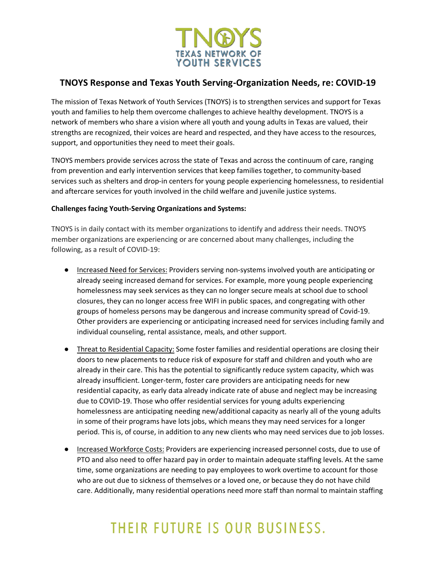

### **TNOYS Response and Texas Youth Serving-Organization Needs, re: COVID-19**

The mission of Texas Network of Youth Services (TNOYS) is to strengthen services and support for Texas youth and families to help them overcome challenges to achieve healthy development. TNOYS is a network of members who share a vision where all youth and young adults in Texas are valued, their strengths are recognized, their voices are heard and respected, and they have access to the resources, support, and opportunities they need to meet their goals.

TNOYS members provide services across the state of Texas and across the continuum of care, ranging from prevention and early intervention services that keep families together, to community-based services such as shelters and drop-in centers for young people experiencing homelessness, to residential and aftercare services for youth involved in the child welfare and juvenile justice systems.

### **Challenges facing Youth-Serving Organizations and Systems:**

TNOYS is in daily contact with its member organizations to identify and address their needs. TNOYS member organizations are experiencing or are concerned about many challenges, including the following, as a result of COVID-19:

- Increased Need for Services: Providers serving non-systems involved youth are anticipating or already seeing increased demand for services. For example, more young people experiencing homelessness may seek services as they can no longer secure meals at school due to school closures, they can no longer access free WIFI in public spaces, and congregating with other groups of homeless persons may be dangerous and increase community spread of Covid-19. Other providers are experiencing or anticipating increased need for services including family and individual counseling, rental assistance, meals, and other support.
- Threat to Residential Capacity: Some foster families and residential operations are closing their doors to new placements to reduce risk of exposure for staff and children and youth who are already in their care. This has the potential to significantly reduce system capacity, which was already insufficient. Longer-term, foster care providers are anticipating needs for new residential capacity, as early data already indicate rate of abuse and neglect may be increasing due to COVID-19. Those who offer residential services for young adults experiencing homelessness are anticipating needing new/additional capacity as nearly all of the young adults in some of their programs have lots jobs, which means they may need services for a longer period. This is, of course, in addition to any new clients who may need services due to job losses.
- Increased Workforce Costs: Providers are experiencing increased personnel costs, due to use of PTO and also need to offer hazard pay in order to maintain adequate staffing levels. At the same time, some organizations are needing to pay employees to work overtime to account for those who are out due to sickness of themselves or a loved one, or because they do not have child care. Additionally, many residential operations need more staff than normal to maintain staffing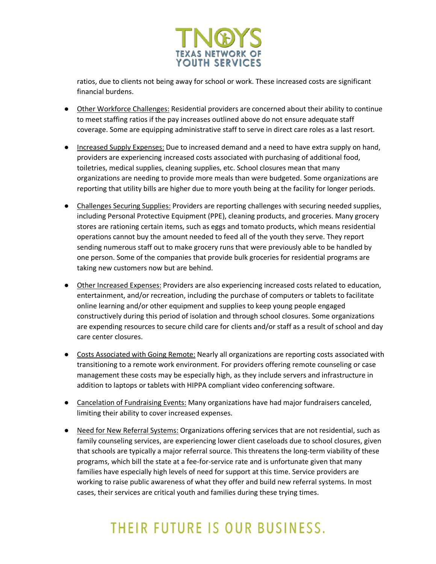

ratios, due to clients not being away for school or work. These increased costs are significant financial burdens.

- Other Workforce Challenges: Residential providers are concerned about their ability to continue to meet staffing ratios if the pay increases outlined above do not ensure adequate staff coverage. Some are equipping administrative staff to serve in direct care roles as a last resort.
- Increased Supply Expenses: Due to increased demand and a need to have extra supply on hand, providers are experiencing increased costs associated with purchasing of additional food, toiletries, medical supplies, cleaning supplies, etc. School closures mean that many organizations are needing to provide more meals than were budgeted. Some organizations are reporting that utility bills are higher due to more youth being at the facility for longer periods.
- Challenges Securing Supplies: Providers are reporting challenges with securing needed supplies, including Personal Protective Equipment (PPE), cleaning products, and groceries. Many grocery stores are rationing certain items, such as eggs and tomato products, which means residential operations cannot buy the amount needed to feed all of the youth they serve. They report sending numerous staff out to make grocery runs that were previously able to be handled by one person. Some of the companies that provide bulk groceries for residential programs are taking new customers now but are behind.
- Other Increased Expenses: Providers are also experiencing increased costs related to education, entertainment, and/or recreation, including the purchase of computers or tablets to facilitate online learning and/or other equipment and supplies to keep young people engaged constructively during this period of isolation and through school closures. Some organizations are expending resources to secure child care for clients and/or staff as a result of school and day care center closures.
- Costs Associated with Going Remote: Nearly all organizations are reporting costs associated with transitioning to a remote work environment. For providers offering remote counseling or case management these costs may be especially high, as they include servers and infrastructure in addition to laptops or tablets with HIPPA compliant video conferencing software.
- Cancelation of Fundraising Events: Many organizations have had major fundraisers canceled, limiting their ability to cover increased expenses.
- Need for New Referral Systems: Organizations offering services that are not residential, such as family counseling services, are experiencing lower client caseloads due to school closures, given that schools are typically a major referral source. This threatens the long-term viability of these programs, which bill the state at a fee-for-service rate and is unfortunate given that many families have especially high levels of need for support at this time. Service providers are working to raise public awareness of what they offer and build new referral systems. In most cases, their services are critical youth and families during these trying times.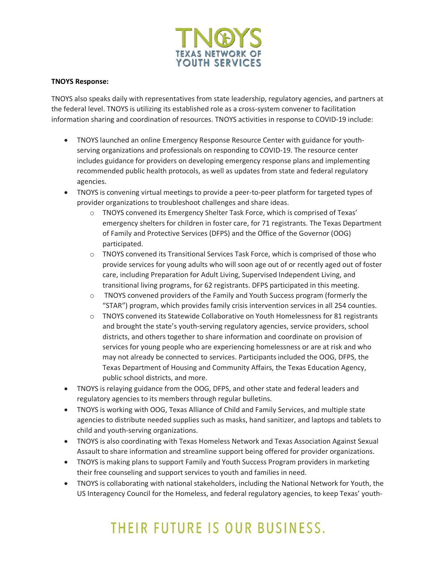

#### **TNOYS Response:**

TNOYS also speaks daily with representatives from state leadership, regulatory agencies, and partners at the federal level. TNOYS is utilizing its established role as a cross-system convener to facilitation information sharing and coordination of resources. TNOYS activities in response to COVID-19 include:

- TNOYS launched an online Emergency Response Resource Center with guidance for youthserving organizations and professionals on responding to COVID-19. The resource center includes guidance for providers on developing emergency response plans and implementing recommended public health protocols, as well as updates from state and federal regulatory agencies.
- TNOYS is convening virtual meetings to provide a peer-to-peer platform for targeted types of provider organizations to troubleshoot challenges and share ideas.
	- o TNOYS convened its Emergency Shelter Task Force, which is comprised of Texas' emergency shelters for children in foster care, for 71 registrants. The Texas Department of Family and Protective Services (DFPS) and the Office of the Governor (OOG) participated.
	- o TNOYS convened its Transitional Services Task Force, which is comprised of those who provide services for young adults who will soon age out of or recently aged out of foster care, including Preparation for Adult Living, Supervised Independent Living, and transitional living programs, for 62 registrants. DFPS participated in this meeting.
	- o TNOYS convened providers of the Family and Youth Success program (formerly the "STAR") program, which provides family crisis intervention services in all 254 counties.
	- o TNOYS convened its Statewide Collaborative on Youth Homelessness for 81 registrants and brought the state's youth-serving regulatory agencies, service providers, school districts, and others together to share information and coordinate on provision of services for young people who are experiencing homelessness or are at risk and who may not already be connected to services. Participants included the OOG, DFPS, the Texas Department of Housing and Community Affairs, the Texas Education Agency, public school districts, and more.
- TNOYS is relaying guidance from the OOG, DFPS, and other state and federal leaders and regulatory agencies to its members through regular bulletins.
- TNOYS is working with OOG, Texas Alliance of Child and Family Services, and multiple state agencies to distribute needed supplies such as masks, hand sanitizer, and laptops and tablets to child and youth-serving organizations.
- TNOYS is also coordinating with Texas Homeless Network and Texas Association Against Sexual Assault to share information and streamline support being offered for provider organizations.
- TNOYS is making plans to support Family and Youth Success Program providers in marketing their free counseling and support services to youth and families in need.
- TNOYS is collaborating with national stakeholders, including the National Network for Youth, the US Interagency Council for the Homeless, and federal regulatory agencies, to keep Texas' youth-